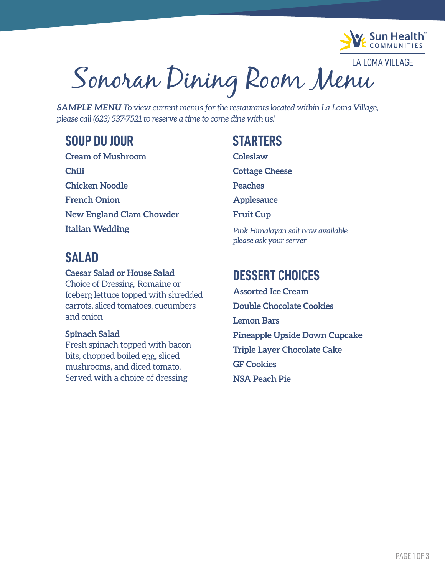

**LA LOMA VILLAGE** Sonoran Dining Room Menu

*SAMPLE MENU To view current menus for the restaurants located within La Loma Village, please call (623) 537-7521 to reserve a time to come dine with us!*

## **SOUP DU JOUR**

**Cream of Mushroom Chili Chicken Noodle French Onion New England Clam Chowder Italian Wedding**

## **SALAD**

**Caesar Salad or House Salad** Choice of Dressing, Romaine or Iceberg lettuce topped with shredded carrots, sliced tomatoes, cucumbers and onion

### **Spinach Salad**

Fresh spinach topped with bacon bits, chopped boiled egg, sliced mushrooms, and diced tomato. Served with a choice of dressing

## **STARTERS**

**Coleslaw**

**Cottage Cheese**

**Peaches**

**Applesauce**

**Fruit Cup**

*Pink Himalayan salt now available please ask your server*

## **DESSERT CHOICES**

**Assorted Ice Cream Double Chocolate Cookies Lemon Bars Pineapple Upside Down Cupcake Triple Layer Chocolate Cake GF Cookies NSA Peach Pie**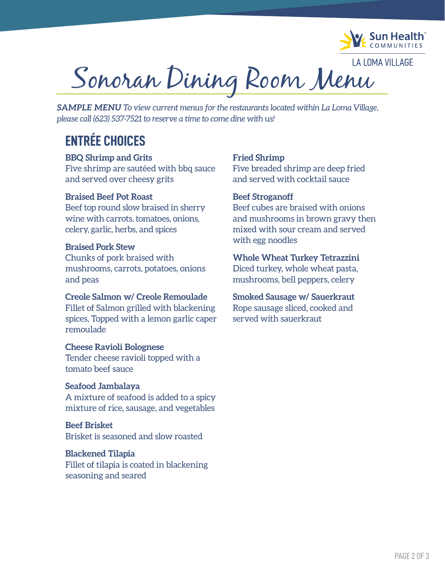

**LA LOMA VILLAGE** Sonoran Dining Room Menu

*SAMPLE MENU To view current menus for the restaurants located within La Loma Village, please call (623) 537-7521 to reserve a time to come dine with us!*

## **ENTRÉE CHOICES**

#### **BBQ Shrimp and Grits**

Five shrimp are sautéed with bbq sauce and served over cheesy grits

#### **Braised Beef Pot Roast**

Beef top round slow braised in sherry wine with carrots, tomatoes, onions, celery, garlic, herbs, and spices

#### **Braised Pork Stew**

Chunks of pork braised with mushrooms, carrots, potatoes, onions and peas

#### **Creole Salmon w/ Creole Remoulade**

Fillet of Salmon grilled with blackening spices, Topped with a lemon garlic caper remoulade

#### **Cheese Ravioli Bolognese**

Tender cheese ravioli topped with a tomato beef sauce

#### **Seafood Jambalaya**

A mixture of seafood is added to a spicy mixture of rice, sausage, and vegetables

#### **Beef Brisket** Brisket is seasoned and slow roasted

#### **Blackened Tilapia**

Fillet of tilapia is coated in blackening seasoning and seared

#### **Fried Shrimp**

Five breaded shrimp are deep fried and served with cocktail sauce

#### **Beef Stroganoff**

Beef cubes are braised with onions and mushrooms in brown gravy then mixed with sour cream and served with egg noodles

#### **Whole Wheat Turkey Tetrazzini**

Diced turkey, whole wheat pasta, mushrooms, bell peppers, celery

#### **Smoked Sausage w/ Sauerkraut**

Rope sausage sliced, cooked and served with sauerkraut